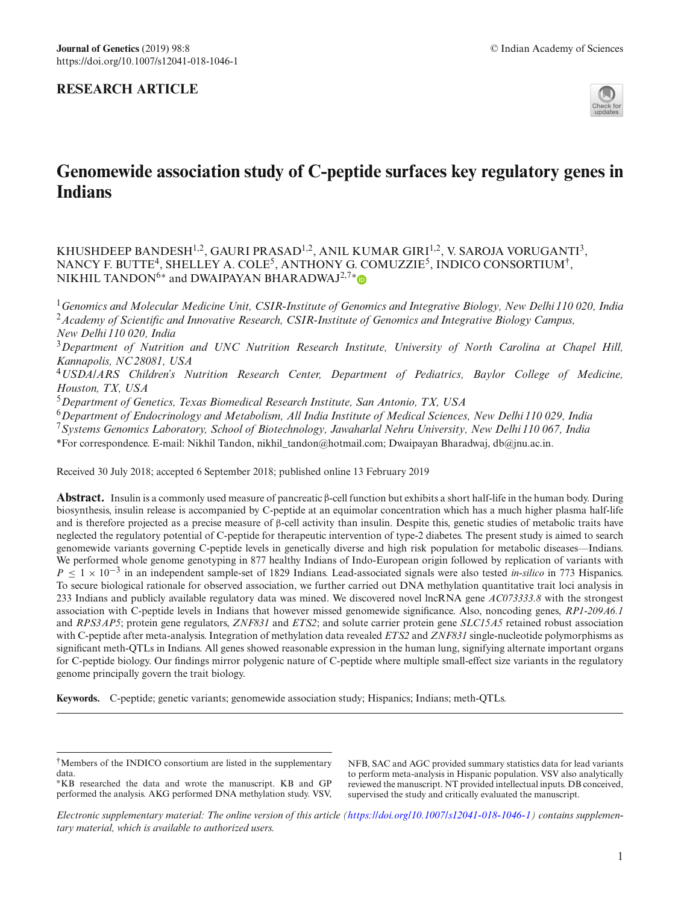

# **Genomewide association study of C-peptide surfaces key regulatory genes in Indians**

KHUSHDEEP BANDESH<sup>1,2</sup>, GAURI PRASAD<sup>1,2</sup>, ANIL KUMAR GIRI<sup>1,2</sup>, V. SAROJA VORUGANTI<sup>3</sup>, NANCY F. BUTTE<sup>4</sup>, SHELLEY A. COLE<sup>5</sup>, ANTHONY G. COMUZZIE<sup>5</sup>, INDICO CONSORTIUM<sup>†</sup>, NIKHIL TANDON<sup>6[∗](http://orcid.org/0000-0001-5268-8482)</sup> and DWAIPAYAN BHARADWAJ<sup>2,7</sup>\*®

<sup>1</sup>*Genomics and Molecular Medicine Unit, CSIR-Institute of Genomics and Integrative Biology, New Delhi 110 020, India* <sup>2</sup>*Academy of Scientific and Innovative Research, CSIR-Institute of Genomics and Integrative Biology Campus, New Delhi 110 020, India*

<sup>3</sup>*Department of Nutrition and UNC Nutrition Research Institute, University of North Carolina at Chapel Hill, Kannapolis, NC 28081, USA*

<sup>4</sup>*USDA/ARS Children's Nutrition Research Center, Department of Pediatrics, Baylor College of Medicine, Houston, TX, USA*

<sup>5</sup>*Department of Genetics, Texas Biomedical Research Institute, San Antonio, TX, USA*

<sup>6</sup>*Department of Endocrinology and Metabolism, All India Institute of Medical Sciences, New Delhi 110 029, India*

<sup>7</sup>*Systems Genomics Laboratory, School of Biotechnology, Jawaharlal Nehru University, New Delhi 110 067, India*

\*For correspondence. E-mail: Nikhil Tandon, nikhil\_tandon@hotmail.com; Dwaipayan Bharadwaj, db@jnu.ac.in.

Received 30 July 2018; accepted 6 September 2018; published online 13 February 2019

**Abstract.** Insulin is a commonly used measure of pancreatic β-cell function but exhibits a short half-life in the human body. During biosynthesis, insulin release is accompanied by C-peptide at an equimolar concentration which has a much higher plasma half-life and is therefore projected as a precise measure of β-cell activity than insulin. Despite this, genetic studies of metabolic traits have neglected the regulatory potential of C-peptide for therapeutic intervention of type-2 diabetes. The present study is aimed to search genomewide variants governing C-peptide levels in genetically diverse and high risk population for metabolic diseases—Indians. We performed whole genome genotyping in 877 healthy Indians of Indo-European origin followed by replication of variants with *P* < 1 × 10<sup>-3</sup> in an independent sample-set of 1829 Indians. Lead-associated signals were also tested *in-silico* in 773 Hispanics. To secure biological rationale for observed association, we further carried out DNA methylation quantitative trait loci analysis in 233 Indians and publicly available regulatory data was mined. We discovered novel lncRNA gene *AC073333.8* with the strongest association with C-peptide levels in Indians that however missed genomewide significance. Also, noncoding genes, *RP1-209A6.1* and *RPS3AP5*; protein gene regulators, *ZNF831* and *ETS2*; and solute carrier protein gene *SLC15A5* retained robust association with C-peptide after meta-analysis. Integration of methylation data revealed *ETS2* and *ZNF831* single-nucleotide polymorphisms as significant meth-QTLs in Indians. All genes showed reasonable expression in the human lung, signifying alternate important organs for C-peptide biology. Our findings mirror polygenic nature of C-peptide where multiple small-effect size variants in the regulatory genome principally govern the trait biology.

**Keywords.** C-peptide; genetic variants; genomewide association study; Hispanics; Indians; meth-QTLs.

∗KB researched the data and wrote the manuscript. KB and GP performed the analysis. AKG performed DNA methylation study. VSV, NFB, SAC and AGC provided summary statistics data for lead variants to perform meta-analysis in Hispanic population. VSV also analytically reviewed the manuscript. NT provided intellectual inputs. DB conceived, supervised the study and critically evaluated the manuscript.

Electronic supplementary material: The online version of this article [\(https://doi.org/10.1007/s12041-018-1046-1\)](https://doi.org/10.1007/s12041-018-1046-1) contains supplemen*tary material, which is available to authorized users.*

<sup>†</sup>Members of the INDICO consortium are listed in the supplementary data.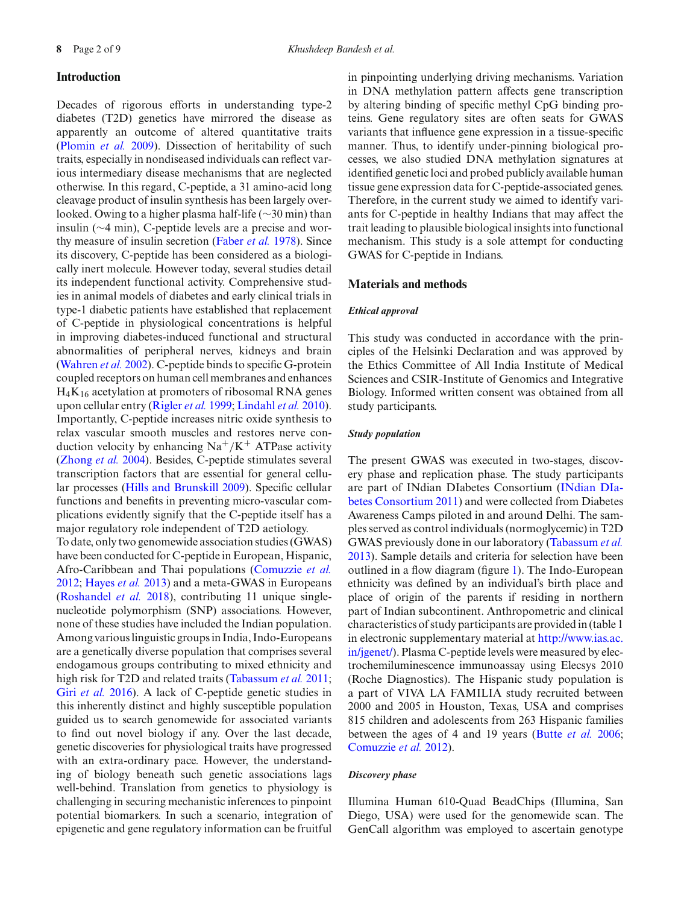# **Introduction**

Decades of rigorous efforts in understanding type-2 diabetes (T2D) genetics have mirrored the disease as apparently an outcome of altered quantitative traits [\(Plomin](#page-7-0) *et al.* [2009\)](#page-7-0). Dissection of heritability of such traits, especially in nondiseased individuals can reflect various intermediary disease mechanisms that are neglected otherwise. In this regard, C-peptide, a 31 amino-acid long

cleavage product of insulin synthesis has been largely overlooked. Owing to a higher plasma half-life (∼30 min) than insulin (∼4 min), C-peptide levels are a precise and worthy measure of insulin secretion [\(Faber](#page-7-1) *et al.* [1978](#page-7-1)). Since its discovery, C-peptide has been considered as a biologically inert molecule. However today, several studies detail its independent functional activity. Comprehensive studies in animal models of diabetes and early clinical trials in type-1 diabetic patients have established that replacement of C-peptide in physiological concentrations is helpful in improving diabetes-induced functional and structural abnormalities of peripheral nerves, kidneys and brain [\(Wahren](#page-8-0) *et al.* [2002](#page-8-0)). C-peptide binds to specific G-protein coupled receptors on human cell membranes and enhances H4K16 acetylation at promoters of ribosomal RNA genes upon cellular entry [\(Rigler](#page-7-2) *et al.* [1999;](#page-7-2) [Lindahl](#page-7-3) *et al.* [2010](#page-7-3)). Importantly, C-peptide increases nitric oxide synthesis to relax vascular smooth muscles and restores nerve conduction velocity by enhancing  $\text{Na}^+/ \text{K}^+$  ATPase activity [\(Zhong](#page-8-1) *et al.* [2004](#page-8-1)). Besides, C-peptide stimulates several transcription factors that are essential for general cellular processes [\(Hills and Brunskill 2009](#page-7-4)). Specific cellular functions and benefits in preventing micro-vascular complications evidently signify that the C-peptide itself has a major regulatory role independent of T2D aetiology.

To date, only two genomewide association studies (GWAS) have been conducted for C-peptide in European, Hispanic, Afro-Caribbean and Thai populations [\(Comuzzie](#page-7-5) *et al.* [2012](#page-7-5); [Hayes](#page-7-6) *et al.* [2013\)](#page-7-6) and a meta-GWAS in Europeans [\(Roshandel](#page-7-7) *et al.* [2018](#page-7-7)), contributing 11 unique singlenucleotide polymorphism (SNP) associations. However, none of these studies have included the Indian population. Among various linguistic groups in India, Indo-Europeans are a genetically diverse population that comprises several endogamous groups contributing to mixed ethnicity and high risk for T2D and related traits [\(Tabassum](#page-7-8) *et al.* [2011;](#page-7-8) Giri *[et al.](#page-7-9)* [2016\)](#page-7-9). A lack of C-peptide genetic studies in this inherently distinct and highly susceptible population guided us to search genomewide for associated variants to find out novel biology if any. Over the last decade, genetic discoveries for physiological traits have progressed with an extra-ordinary pace. However, the understanding of biology beneath such genetic associations lags well-behind. Translation from genetics to physiology is challenging in securing mechanistic inferences to pinpoint potential biomarkers. In such a scenario, integration of epigenetic and gene regulatory information can be fruitful in pinpointing underlying driving mechanisms. Variation in DNA methylation pattern affects gene transcription by altering binding of specific methyl CpG binding proteins. Gene regulatory sites are often seats for GWAS variants that influence gene expression in a tissue-specific manner. Thus, to identify under-pinning biological processes, we also studied DNA methylation signatures at identified genetic loci and probed publicly available human tissue gene expression data for C-peptide-associated genes. Therefore, in the current study we aimed to identify variants for C-peptide in healthy Indians that may affect the trait leading to plausible biological insights into functional mechanism. This study is a sole attempt for conducting GWAS for C-peptide in Indians.

# **Materials and methods**

#### *Ethical approval*

This study was conducted in accordance with the principles of the Helsinki Declaration and was approved by the Ethics Committee of All India Institute of Medical Sciences and CSIR-Institute of Genomics and Integrative Biology. Informed written consent was obtained from all study participants.

#### *Study population*

The present GWAS was executed in two-stages, discovery phase and replication phase. The study participants are part of INdi[an](#page-7-10) [DIabetes](#page-7-10) [Consortium](#page-7-10) [\(](#page-7-10)INdian DIabetes Consortium [2011](#page-7-10)) and were collected from Diabetes Awareness Camps piloted in and around Delhi. The samples served as control individuals (normoglycemic) in T2D GWAS previously done in our laboratory [\(Tabassum](#page-8-2) *et al.* [2013](#page-8-2)). Sample details and criteria for selection have been outlined in a flow diagram (figure [1\)](#page-2-0). The Indo-European ethnicity was defined by an individual's birth place and place of origin of the parents if residing in northern part of Indian subcontinent. Anthropometric and clinical characteristics of study participants are provided in (table 1 in electronic supplementary material at [http://www.ias.ac.](http://www.ias.ac.in/jgenet/) [in/jgenet/\)](http://www.ias.ac.in/jgenet/). Plasma C-peptide levels were measured by electrochemiluminescence immunoassay using Elecsys 2010 (Roche Diagnostics). The Hispanic study population is a part of VIVA LA FAMILIA study recruited between 2000 and 2005 in Houston, Texas, USA and comprises 815 children and adolescents from 263 Hispanic families between the ages of 4 and 19 years [\(Butte](#page-7-11) *et al.* [2006;](#page-7-11) [Comuzzie](#page-7-5) *et al.* [2012\)](#page-7-5).

#### *Discovery phase*

Illumina Human 610-Quad BeadChips (Illumina, San Diego, USA) were used for the genomewide scan. The GenCall algorithm was employed to ascertain genotype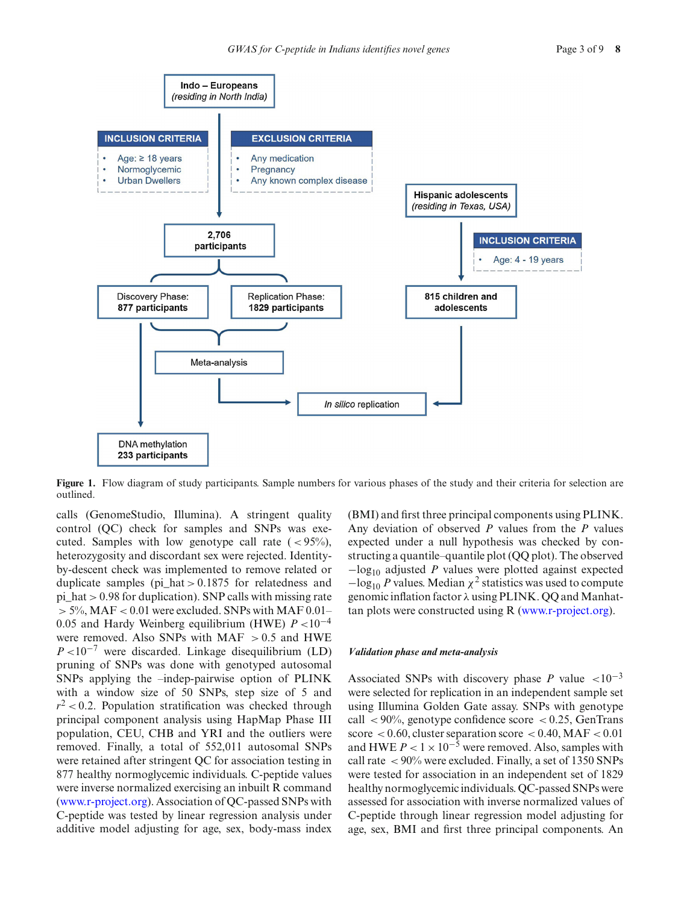

<span id="page-2-0"></span>**Figure 1.** Flow diagram of study participants. Sample numbers for various phases of the study and their criteria for selection are outlined.

calls (GenomeStudio, Illumina). A stringent quality control (QC) check for samples and SNPs was executed. Samples with low genotype call rate  $(< 95\%$ ), heterozygosity and discordant sex were rejected. Identityby-descent check was implemented to remove related or duplicate samples (pi\_hat > 0.1875 for relatedness and pi\_hat > 0.98 for duplication). SNP calls with missing rate  $> 5\%$ , MAF < 0.01 were excluded. SNPs with MAF 0.01– 0.05 and Hardy Weinberg equilibrium (HWE) *P* <10−<sup>4</sup> were removed. Also SNPs with MAF  $> 0.5$  and HWE  $P \lt 10^{-7}$  were discarded. Linkage disequilibrium (LD) pruning of SNPs was done with genotyped autosomal SNPs applying the –indep-pairwise option of PLINK with a window size of 50 SNPs, step size of 5 and  $r^2$  < 0.2. Population stratification was checked through principal component analysis using HapMap Phase III population, CEU, CHB and YRI and the outliers were removed. Finally, a total of 552,011 autosomal SNPs were retained after stringent QC for association testing in 877 healthy normoglycemic individuals. C-peptide values were inverse normalized exercising an inbuilt R command [\(www.r-project.org\)](http://www.r-project.org). Association of QC-passed SNPs with C-peptide was tested by linear regression analysis under additive model adjusting for age, sex, body-mass index

(BMI) and first three principal components using PLINK. Any deviation of observed *P* values from the *P* values expected under a null hypothesis was checked by constructing a quantile–quantile plot (QQ plot). The observed −log10 adjusted *P* values were plotted against expected  $-\log_{10} P$  values. Median  $\chi^2$  statistics was used to compute genomic inflation factor λ using PLINK. QQ and Manhattan plots were constructed using R [\(www.r-project.org\)](http://www.r-project.org).

#### *Validation phase and meta-analysis*

Associated SNPs with discovery phase *P* value  $\lt 10^{-3}$ were selected for replication in an independent sample set using Illumina Golden Gate assay. SNPs with genotype call  $\langle 90\%$ , genotype confidence score  $\langle 0.25, \text{GenTrans} \rangle$ score  $< 0.60$ , cluster separation score  $< 0.40$ , MAF  $< 0.01$ and HWE  $P < 1 \times 10^{-5}$  were removed. Also, samples with call rate < 90% were excluded. Finally, a set of 1350 SNPs were tested for association in an independent set of 1829 healthy normoglycemic individuals. QC-passed SNPs were assessed for association with inverse normalized values of C-peptide through linear regression model adjusting for age, sex, BMI and first three principal components. An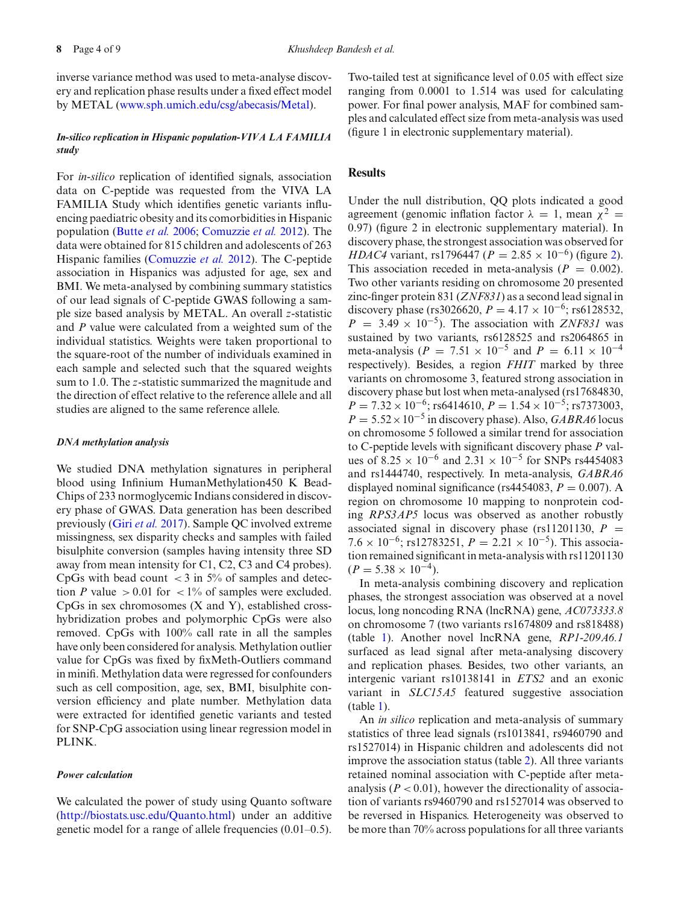inverse variance method was used to meta-analyse discovery and replication phase results under a fixed effect model by METAL [\(www.sph.umich.edu/csg/abecasis/Metal\)](www.sph.umich.edu/csg/abecasis/Metal).

# *In-silico replication in Hispanic population-VIVA LA FAMILIA study*

For *in-silico* replication of identified signals, association data on C-peptide was requested from the VIVA LA FAMILIA Study which identifies genetic variants influencing paediatric obesity and its comorbidities in Hispanic population [\(Butte](#page-7-11) *et al.* [2006](#page-7-11); [Comuzzie](#page-7-5) *et al.* [2012\)](#page-7-5). The data were obtained for 815 children and adolescents of 263 Hispanic families [\(Comuzzie](#page-7-5) *et al.* [2012](#page-7-5)). The C-peptide association in Hispanics was adjusted for age, sex and BMI. We meta-analysed by combining summary statistics of our lead signals of C-peptide GWAS following a sample size based analysis by METAL. An overall *z*-statistic and *P* value were calculated from a weighted sum of the individual statistics. Weights were taken proportional to the square-root of the number of individuals examined in each sample and selected such that the squared weights sum to 1.0. The *z*-statistic summarized the magnitude and the direction of effect relative to the reference allele and all studies are aligned to the same reference allele.

#### *DNA methylation analysis*

We studied DNA methylation signatures in peripheral blood using Infinium HumanMethylation450 K Bead-Chips of 233 normoglycemic Indians considered in discovery phase of GWAS. Data generation has been described previously (Giri *[et al.](#page-7-12)* [2017\)](#page-7-12). Sample QC involved extreme missingness, sex disparity checks and samples with failed bisulphite conversion (samples having intensity three SD away from mean intensity for C1, C2, C3 and C4 probes). CpGs with bead count  $\langle 3 \text{ in } 5\% \rangle$  of samples and detection *P* value  $> 0.01$  for  $< 1\%$  of samples were excluded. CpGs in sex chromosomes (X and Y), established crosshybridization probes and polymorphic CpGs were also removed. CpGs with 100% call rate in all the samples have only been considered for analysis. Methylation outlier value for CpGs was fixed by fixMeth-Outliers command in minifi. Methylation data were regressed for confounders such as cell composition, age, sex, BMI, bisulphite conversion efficiency and plate number. Methylation data were extracted for identified genetic variants and tested for SNP-CpG association using linear regression model in PLINK.

#### *Power calculation*

We calculated the power of study using Quanto software [\(http://biostats.usc.edu/Quanto.html\)](http://biostats.usc.edu/Quanto.html) under an additive genetic model for a range of allele frequencies (0.01–0.5).

Two-tailed test at significance level of 0.05 with effect size ranging from 0.0001 to 1.514 was used for calculating power. For final power analysis, MAF for combined samples and calculated effect size from meta-analysis was used (figure 1 in electronic supplementary material).

# **Results**

Under the null distribution, QQ plots indicated a good agreement (genomic inflation factor  $\lambda = 1$ , mean  $\chi^2 =$ 0.97) (figure 2 in electronic supplementary material). In discovery phase, the strongest association was observed for *HDAC4* variant, rs1796447 ( $P = 2.85 \times 10^{-6}$ ) (figure [2\)](#page-4-0). This association receded in meta-analysis ( $P = 0.002$ ). Two other variants residing on chromosome 20 presented zinc-finger protein 831 (*ZNF831*) as a second lead signal in discovery phase (rs3026620,  $P = 4.17 \times 10^{-6}$ ; rs6128532,  $P = 3.49 \times 10^{-5}$ . The association with *ZNF831* was sustained by two variants, rs6128525 and rs2064865 in meta-analysis ( $P = 7.51 \times 10^{-5}$  and  $P = 6.11 \times 10^{-4}$ respectively). Besides, a region *FHIT* marked by three variants on chromosome 3, featured strong association in discovery phase but lost when meta-analysed (rs17684830, *P* = 7.32 × 10<sup>-6</sup>; rs6414610, *P* = 1.54 × 10<sup>-5</sup>; rs7373003,  $P = 5.52 \times 10^{-5}$  in discovery phase). Also, *GABRA6* locus on chromosome 5 followed a similar trend for association to C-peptide levels with significant discovery phase *P* values of  $8.25 \times 10^{-6}$  and  $2.31 \times 10^{-5}$  for SNPs rs4454083 and rs1444740, respectively. In meta-analysis, *GABRA6* displayed nominal significance (rs4454083,  $P = 0.007$ ). A region on chromosome 10 mapping to nonprotein coding *RPS3AP5* locus was observed as another robustly associated signal in discovery phase (rs11201130,  $P =$ 7.6 × 10<sup>-6</sup>; rs12783251,  $P = 2.21 \times 10^{-5}$ ). This association remained significant in meta-analysis with rs11201130  $(P = 5.38 \times 10^{-4})$ .

In meta-analysis combining discovery and replication phases, the strongest association was observed at a novel locus, long noncoding RNA (lncRNA) gene, *AC073333.8* on chromosome 7 (two variants rs1674809 and rs818488) (table [1\)](#page-5-0). Another novel lncRNA gene, *RP1-209A6.1* surfaced as lead signal after meta-analysing discovery and replication phases. Besides, two other variants, an intergenic variant rs10138141 in *ETS2* and an exonic variant in *SLC15A5* featured suggestive association (table [1\)](#page-5-0).

An *in silico* replication and meta-analysis of summary statistics of three lead signals (rs1013841, rs9460790 and rs1527014) in Hispanic children and adolescents did not improve the association status (table [2\)](#page-5-1). All three variants retained nominal association with C-peptide after metaanalysis  $(P < 0.01)$ , however the directionality of association of variants rs9460790 and rs1527014 was observed to be reversed in Hispanics. Heterogeneity was observed to be more than 70% across populations for all three variants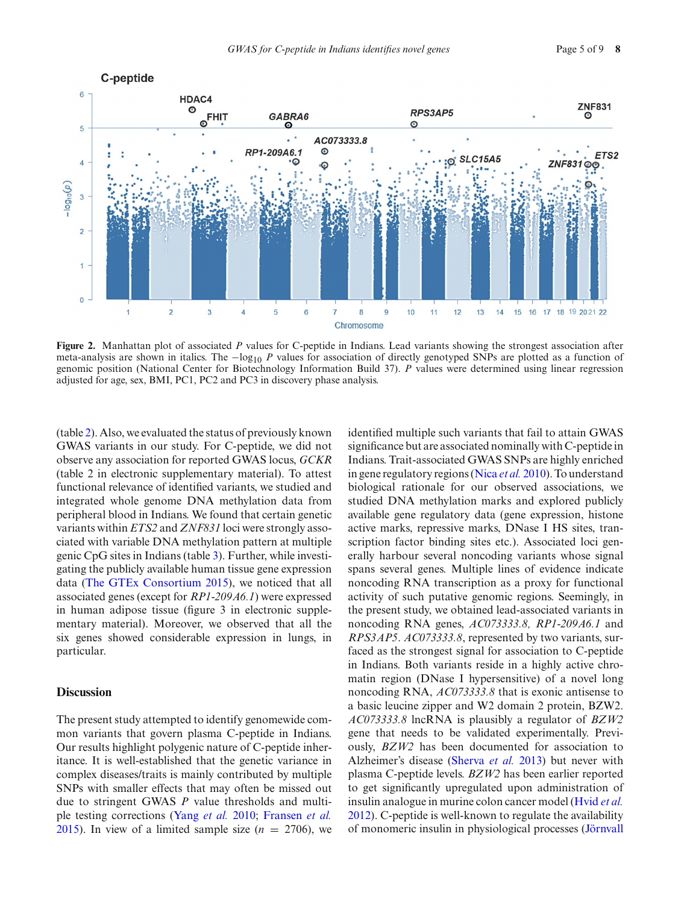

<span id="page-4-0"></span>**Figure 2.** Manhattan plot of associated *P* values for C-peptide in Indians. Lead variants showing the strongest association after meta-analysis are shown in italics. The −log<sub>10</sub> *P* values for association of directly genotyped SNPs are plotted as a function of genomic position (National Center for Biotechnology Information Build 37). *P* values were determined using linear regression adjusted for age, sex, BMI, PC1, PC2 and PC3 in discovery phase analysis.

(table [2\)](#page-5-1). Also, we evaluated the status of previously known GWAS variants in our study. For C-peptide, we did not observe any association for reported GWAS locus, *GCKR* (table 2 in electronic supplementary material). To attest functional relevance of identified variants, we studied and integrated whole genome DNA methylation data from peripheral blood in Indians. We found that certain genetic variants within *ETS2* and *ZNF831* loci were strongly associated with variable DNA methylation pattern at multiple genic CpG sites in Indians (table [3\)](#page-6-0). Further, while investigating the publicly available human tissue gene expression data [\(The GTEx Consortium 2015\)](#page-8-3), we noticed that all associated genes (except for *RP1-209A6.1*) were expressed in human adipose tissue (figure 3 in electronic supplementary material). Moreover, we observed that all the six genes showed considerable expression in lungs, in particular.

#### **Discussion**

The present study attempted to identify genomewide common variants that govern plasma C-peptide in Indians. Our results highlight polygenic nature of C-peptide inheritance. It is well-established that the genetic variance in complex diseases/traits is mainly contributed by multiple SNPs with smaller effects that may often be missed out due to stringent GWAS *P* value thresholds and multiple testing corrections [\(Yang](#page-8-4) *et al.* [2010;](#page-8-4) [Fransen](#page-7-13) *et al.* [2015](#page-7-13)). In view of a limited sample size  $(n = 2706)$ , we identified multiple such variants that fail to attain GWAS significance but are associated nominally with C-peptide in Indians. Trait-associated GWAS SNPs are highly enriched in gene regulatory regions [\(Nica](#page-7-14) *et al.* [2010\)](#page-7-14). To understand biological rationale for our observed associations, we studied DNA methylation marks and explored publicly available gene regulatory data (gene expression, histone active marks, repressive marks, DNase I HS sites, transcription factor binding sites etc.). Associated loci generally harbour several noncoding variants whose signal spans several genes. Multiple lines of evidence indicate noncoding RNA transcription as a proxy for functional activity of such putative genomic regions. Seemingly, in the present study, we obtained lead-associated variants in noncoding RNA genes, *AC073333.8, RP1-209A6.1* and *RPS3AP5*. *AC073333.8*, represented by two variants, surfaced as the strongest signal for association to C-peptide in Indians. Both variants reside in a highly active chromatin region (DNase I hypersensitive) of a novel long noncoding RNA, *AC073333.8* that is exonic antisense to a basic leucine zipper and W2 domain 2 protein, BZW2. *AC073333.8* lncRNA is plausibly a regulator of *BZW2* gene that needs to be validated experimentally. Previously, *BZW2* has been documented for association to Alzheimer's disease [\(Sherva](#page-7-15) *et al.* [2013](#page-7-15)) but never with plasma C-peptide levels. *BZW2* has been earlier reported to get significantly upregulated upon administration of insulin analogue in murine colon cancer model [\(Hvid](#page-7-16) *et al.* [2012](#page-7-16)). C-peptide is well-known to regulate the availability of monomeric insulin in physiological processes (Jörnvall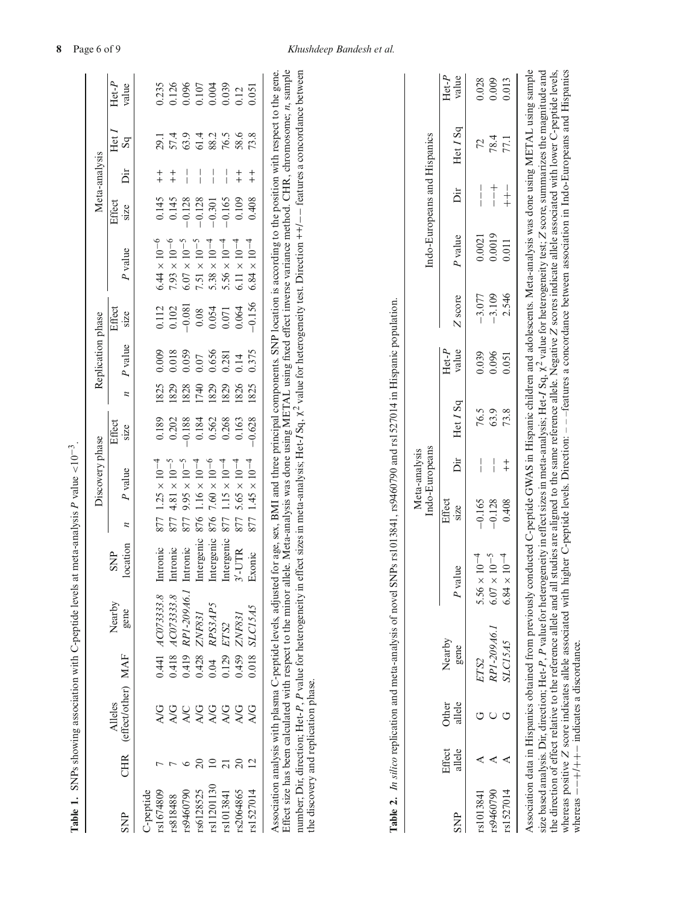|                        |                |                                                                                                                                                                                                                                                                                                                                                                                                                                                                                                                                                                                                             |       |                      |                        |                | Discovery phase       |                |                             | Replication phase |                   |                                                                                                                                 |                | Meta-analysis |                       |                  |
|------------------------|----------------|-------------------------------------------------------------------------------------------------------------------------------------------------------------------------------------------------------------------------------------------------------------------------------------------------------------------------------------------------------------------------------------------------------------------------------------------------------------------------------------------------------------------------------------------------------------------------------------------------------------|-------|----------------------|------------------------|----------------|-----------------------|----------------|-----------------------------|-------------------|-------------------|---------------------------------------------------------------------------------------------------------------------------------|----------------|---------------|-----------------------|------------------|
| <b>SNP</b>             | CHR            | (effect/other) MAF<br>Alleles                                                                                                                                                                                                                                                                                                                                                                                                                                                                                                                                                                               |       | Nearby<br>gene       | location<br><b>SNP</b> | $\overline{a}$ | P value               | Effect<br>size | $\overline{\boldsymbol{z}}$ | P value           | Effect<br>$siz$ e | P value                                                                                                                         | Effect<br>size | Йr            | Het I<br>$_{\rm{sg}}$ | $Het-P$<br>value |
| rs1674809<br>C-peptide |                | <b>A/G</b>                                                                                                                                                                                                                                                                                                                                                                                                                                                                                                                                                                                                  |       | $0.441$ $ACO73333.8$ | Intronic               | 877            | $1.25 \times 10^{-4}$ | 0.189          | 1825                        | 0.009             | 0.112             | $6.44\times10^{-6}$                                                                                                             | 0.145          | $+$           | 29.1                  | 0.235            |
| rs818488               |                | A/G                                                                                                                                                                                                                                                                                                                                                                                                                                                                                                                                                                                                         |       | 0.418 $ACO73333.8$   | Intronic               | 877            | $4.81 \times 10^{-5}$ | 0.202          | 1829                        | 0.018             | 0.102             | $7.93\times10^{-6}$                                                                                                             | 0.145          | $^{+}_{+}$    | 57.4                  | 0.126            |
| rs9460790              |                | <b>A/C</b>                                                                                                                                                                                                                                                                                                                                                                                                                                                                                                                                                                                                  | 0.419 | RP1-209A6.1          | Intronic               | 877            | $9.95 \times 10^{-5}$ | $-0.188$       | 1828                        | 0.059             | $-0.081$          | $6.07\times10^{-5}$                                                                                                             | $-0.128$       |               | 63.9                  |                  |
| rs6128525              |                | <b>A/G</b>                                                                                                                                                                                                                                                                                                                                                                                                                                                                                                                                                                                                  | 0.428 | ZNF831               | Intergenic             | 876            | $1.16 \times 10^{-4}$ | 0.184          | 1740                        | 0.07              | 0.08              | $7.51 \times 10^{-5}$                                                                                                           | $-0.128$       |               | 61.4                  | 0.096<br>0.107   |
| rs11201130             |                | <b>A/G</b>                                                                                                                                                                                                                                                                                                                                                                                                                                                                                                                                                                                                  | 0.04  | RPS3AP5              | Intergenic             | 876            | $7.60 \times 10^{-6}$ | 0.562          | 1829                        | 0.656             | 0.054             | $5.38 \times 10^{-4}$                                                                                                           | $-0.301$       |               | 88.2                  | 0.004            |
| rs1013841              |                | <b>A/G</b>                                                                                                                                                                                                                                                                                                                                                                                                                                                                                                                                                                                                  | 0.129 | ETS <sub>2</sub>     | Intergenic             | 877            | $1.15 \times 10^{-4}$ | 0.268          | 1829                        | 0.281             | 0.071             | $5.56 \times 10^{-4}$                                                                                                           | $-0.165$       |               | 76.5                  | 0.039            |
| rs2064865              | $\Omega$       | <b>A/G</b>                                                                                                                                                                                                                                                                                                                                                                                                                                                                                                                                                                                                  | 0.459 | ZNF831               | $3'-U$ TR              | 877            | $5.65 \times 10^{-4}$ | 0.163          | 1826                        | 0.14              | 0.064             | $6.11 \times 10^{-4}$                                                                                                           | 0.109          | $\ddagger$    | 58.6                  | 0.12             |
| rs1527014              | $\overline{2}$ | <b>AG</b>                                                                                                                                                                                                                                                                                                                                                                                                                                                                                                                                                                                                   | 0.018 | SLC15A5              | Exonic                 | 877            | $1.45 \times 10^{-4}$ | $-0.628$       | 1825                        | 0.375             | $-0.156$          | $6.84 \times 10^{-4}$                                                                                                           | 0.408          | $\ddagger$    | 73.8                  | 0.051            |
|                        |                | Effect size has been calculated with respect to the minor allele. Meta-analysis was done using METAL using fixed effect inverse variance method. CHR, chromosome; n, sample<br>Association analysis with plasma C-peptide levels, adjusted for age, sex, BMI and three principal components. SNP location is according to the position with respect to the gene.<br><b>Table 2.</b> In silico replication and meta-analysis of novel SNPs rs1013841, rs9460790 and rs1527014 in Hispanic population.<br>number; Dir, direction; Het-P, P value for heterogeneity in<br>the discovery and replication phase. |       |                      |                        |                |                       |                |                             |                   |                   | effect sizes in meta-analysis; Het-ISq, $\chi^2$ value for heterogeneity test. Direction $++/--$ features a concordance between |                |               |                       |                  |

| $Her-P$                      | $H$ et- $P$ | $\int$ ffect<br>                                                                                                                                                                                                              | dearby. | $Effert$ Other |  |
|------------------------------|-------------|-------------------------------------------------------------------------------------------------------------------------------------------------------------------------------------------------------------------------------|---------|----------------|--|
| Indo-Europeans and Hispanics |             | Indo-Europeans<br>Meta-analysis                                                                                                                                                                                               |         |                |  |
|                              |             | . The contract of the contract of the contract of the contract of the contract of the contract of the contract of the contract of the contract of the contract of the contract of the contract of the contract of the contrac |         |                |  |

<span id="page-5-1"></span><span id="page-5-0"></span> $\overline{\phantom{a}}$ 

|            |                  |                        |                                                                                                                                                                                                                                                              |                            |                | mmo-ran opeans |          |                  |          |         | compoleration and analysis and |                                                                                                                                                                                        |                  |
|------------|------------------|------------------------|--------------------------------------------------------------------------------------------------------------------------------------------------------------------------------------------------------------------------------------------------------------|----------------------------|----------------|----------------|----------|------------------|----------|---------|--------------------------------|----------------------------------------------------------------------------------------------------------------------------------------------------------------------------------------|------------------|
| <b>SNP</b> | Effect<br>allele | allele<br><b>Other</b> | Nearby<br>gene                                                                                                                                                                                                                                               | P value                    | Effect<br>size | .<br>Dir       | Het I Sq | $Het-P$<br>value | Z score  | P value | Dir                            | Het I Sq                                                                                                                                                                               | $Het-P$<br>value |
| s1013841   |                  |                        | ETS2                                                                                                                                                                                                                                                         | $10^{-4}$<br>$5.56 \times$ | $-0.165$       |                | 76.5     | 0.039            | $-3.077$ | 0.0021  |                                | 72                                                                                                                                                                                     | 0.028            |
| s9460790   |                  |                        | RP1-209A6.1                                                                                                                                                                                                                                                  | $10^{-5}$<br>$6.07 \times$ | $-0.128$       | $\frac{1}{1}$  | 63.9     | 0.096            | $-3.109$ | 0.0019  | $\frac{1}{1}$                  | 78.4                                                                                                                                                                                   | 0.009            |
| s1527014   |                  |                        | SLC15A5                                                                                                                                                                                                                                                      | $10^{-4}$<br>$6.84 \times$ | 0.408          | $\ddagger$     | 73.8     | 0.051            | 2.546    | 0.011   | $+$                            | 77.1                                                                                                                                                                                   | 0.013            |
|            |                  |                        | ssociation data in Hispanics obtained from previously conducted C-peptide GWAS in Hispanic children and adolescents. Meta-analysis was done using METAL using sample<br>$\mathbf{a}$ and analyzic Direction: $\mathbf{a}$ at D $\mathbf{b}$ value for hards. |                            |                |                |          |                  |          |         |                                | relative offset in and conclude $\prod_{i=1}^{n}$ to $I$ and $\sum_{i=1}^{n}$ and $\sum_{i=1}^{n}$ and $\sum_{i=1}^{n}$ and $\sum_{i=1}^{n}$ and $\sum_{i=1}^{n}$ and $\sum_{i=1}^{n}$ |                  |

size based analysis. Dir, direction; Het-P, P value for heterogeneity in effect sizes in meta-analysis; Het-I Sq, X<sup>2</sup> value for heterogeneity test; Z score, summarizes the magnitude and<br>the direction of effect relative to whereas positive Z score indicates allele associated with higher C-peptide levels. Direction: --features a concordance between association in Indo-Europeans and Hispanics size based analysis. Dir, direction; Het-*P*, *P* value for heterogeneity in effect sizes in meta-analysis; Het-*I* Sq, χ2 value for heterogeneity test; *Z* score, summarizes the magnitude and the direction of effect relative to the reference allele and all studies are aligned to the same reference allele. Negative *Z* scores indicate allele associated with lower C-peptide levels, whereas positive *Z* score indicates allele associated with higher C-peptide levels. Direction: – – –features a concordance between association in Indo-Europeans and Hispanics  $-$  +  $+$  +  $+$  indicates a discordance. whereas  $-+$ / $+$ + $-$  indicates a discordance. whereas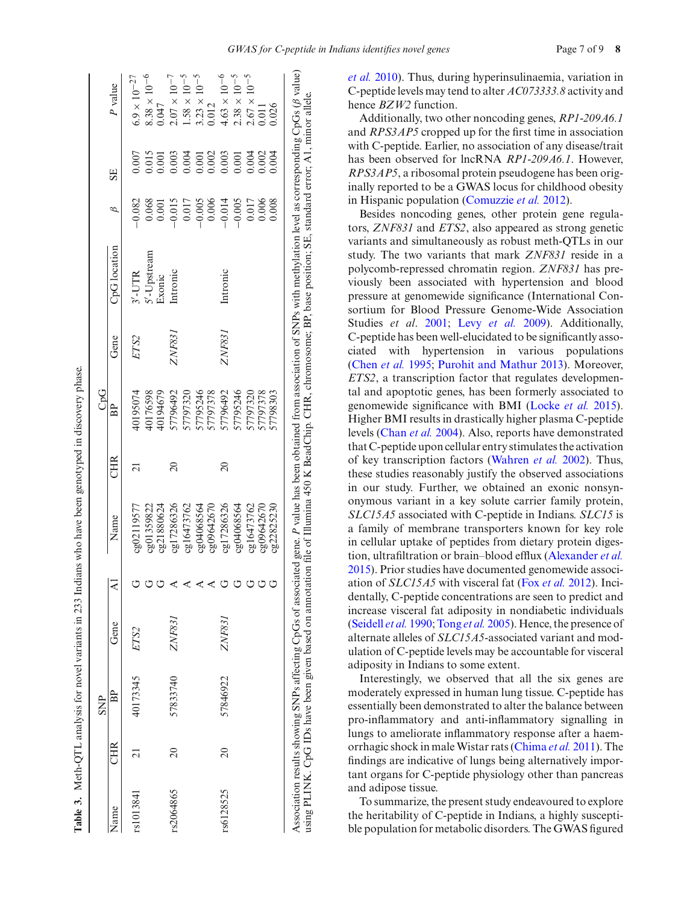|           |                 | <b>SNP</b> |               |                           |            |                 | CpG       |        |              |          |       |                                |
|-----------|-----------------|------------|---------------|---------------------------|------------|-----------------|-----------|--------|--------------|----------|-------|--------------------------------|
| Vame      | CHR             | BP         | Gene          | $ \overline{\mathbf{z}} $ | Name       | CHR             | BP        | Gene   | CpG location | В        | SE    | P value                        |
| s1013841  |                 | 40173345   | ETS2          |                           | cg02119577 |                 | 40195074  | ETS2   | $3'$ -UTR    | $-0.082$ | 1.007 | $6.9\times10^{-27}$            |
|           |                 |            |               |                           | cg01359822 |                 | 10176598  |        | 5'-Upstream  | 0.068    | 0.015 |                                |
|           |                 |            |               |                           | cg21880624 |                 | 10194679  |        | Exonic       | 0.001    | 0.001 | $8.38 \times 10^{-6}$<br>0.047 |
| 82064865  | $\overline{c}$  | 57833740   | <i>ZNF831</i> |                           | cg17286326 | $\approx$       | \$7796492 | ZNF831 | Intronic     | $-0.015$ | 0.003 | $2.07\times10^{-7}$            |
|           |                 |            |               |                           | cg16473762 |                 | 7797320   |        |              | 0.017    | 0.004 | $1.58\times10^{-5}$            |
|           |                 |            |               |                           | cg04068564 |                 | 7795246   |        |              | $-0.005$ | 0.001 | $3.23 \times 10^{-5}$<br>0.012 |
|           |                 |            |               |                           | cg09642670 |                 | 57797378  |        |              | 0.006    | 0.002 |                                |
| :s6128525 | $\overline{20}$ | 57846922   | ZNF831        |                           | cg17286326 | $\overline{20}$ | 7796492   | ZNF831 | Intronic     | $-0.014$ | 0.003 | $4.63\times10^{-6}$            |
|           |                 |            |               | $\mathsf{r}$              | cg04068564 |                 | 7795246   |        |              | $-0.005$ | 0.001 | $2.38 \times 10^{-5}$          |
|           |                 |            |               |                           | cg16473762 |                 | 7797320   |        |              | 0.017    | 004   | $2.67 \times 10^{-5}$          |
|           |                 |            |               |                           | 0209642670 |                 | 7797378   |        |              | 0.006    | 0.002 | 110.0                          |
|           |                 |            |               |                           | 0222825230 |                 | 7798303   |        |              | 0.008    | 004   | 0.026                          |

**Table 3.** Meth-QTL analysis for novel variants in 233 Indians who have been genotyped in discovery phase.

Table 3. Meth-QTL analysis for novel variants in 233 Indians who have been genotyped in discovery phase.

Association results showing SNPs affecting CpGs of associated gene. *P* value has been obtained from association of SNPs with methylation level as [corresponding](#page-7-17) CpGs ( using PLINK. CpG IDs have been given based on annotation file of Illumina 450 K BeadChip. CHR, chromosome; BP, base position; SE, standard error; A1, minor allele. *et al.* [2010\)](#page-7-17). Thus, during hyperinsulinaemia, variation in C-peptide levels may tend to alter *AC073333.8* activity and hence *BZW2* function.

Additionally, two other noncoding genes, *RP1-209A6.1* and *RPS3AP5* cropped up for the first time in association with C-peptide. Earlier, no association of any disease/trait has been observed for lncRNA *RP1-209A6.1*. However, *RPS3AP5*, a ribosomal protein pseudogene has been originally reported to be a GWAS locus for childhood obesity in Hispanic population [\(Comuzzie](#page-7-5) *et al.* [2012](#page-7-5)).

Besides noncoding genes, other protein gene regulators, *ZNF831* and *ETS2*, also appeared as strong genetic variants and simultaneously as robust meth-QTLs in our study. The two variants that mark *ZNF831* reside in a polycomb-repressed chromatin region. *ZNF831* has previously been associated with hypertension and blood pressure at genomewide significance (International Consortium for Blood Pressure Genome-Wide Association Studies *et al*. [2001;](#page-7-18) Levy *[et al.](#page-7-19)* [2009\)](#page-7-19). Additionally, C-peptide has been well-elucidated to be significantly associated with hypertension in various populations [\(Chen](#page-7-20) *et al.* [1995](#page-7-20); [Purohit and Mathur 2013\)](#page-7-21). Moreover, *ETS2*, a transcription factor that regulates developmental and apoptotic genes, has been formerly associated to genomewide significance with BMI [\(Locke](#page-7-22) *et al.* [2015](#page-7-22)). Higher BMI results in drastically higher plasma C-peptide levels [\(Chan](#page-7-23) *et al.* [2004](#page-7-23)). Also, reports have demonstrated that C-peptide upon cellular entry stimulates the activation of key transcription factors [\(Wahren](#page-8-0) *et al.* [2002\)](#page-8-0). Thus, these studies reasonably justify the observed associations in our study. Further, we obtained an exonic nonsynonymous variant in a key solute carrier family protein, *SLC15A5* associated with C-peptide in Indians. *SLC15* is a family of membrane transporters known for key role in cellular uptake of peptides from dietary protein digestion, ultrafiltration or brain–blood efflux [\(Alexander](#page-7-24) *et al.* [2015](#page-7-24)). Prior studies have documented genomewide association of *SLC15A5* with visceral fat (Fox *[et al.](#page-7-25)* [2012](#page-7-25)). Incidentally, C-peptide concentrations are seen to predict and increase visceral fat adiposity in nondiabetic individuals [\(Seidell](#page-7-26) *et al.* [1990](#page-7-26); [Tong](#page-8-5) *et al.* [2005](#page-8-5)). Hence, the presence of alternate alleles of *SLC15A5*-associated variant and modulation of C-peptide levels may be accountable for visceral adiposity in Indians to some extent.

<span id="page-6-0"></span>Interestingly, we observed that all the six genes are moderately expressed in human lung tissue. C-peptide has essentially been demonstrated to alter the balance between pro-inflammatory and anti-inflammatory signalling in lungs to ameliorate inflammatory response after a haemorrhagic shock in male Wistar rats [\(Chima](#page-7-27) *et al.* [2011](#page-7-27)). The findings are indicative of lungs being alternatively important organs for C-peptide physiology other than pancreas and adipose tissue.

To summarize, the present study endeavoured to explore the heritability of C-peptide in Indians, a highly susceptible population for metabolic disorders. The GWAS figured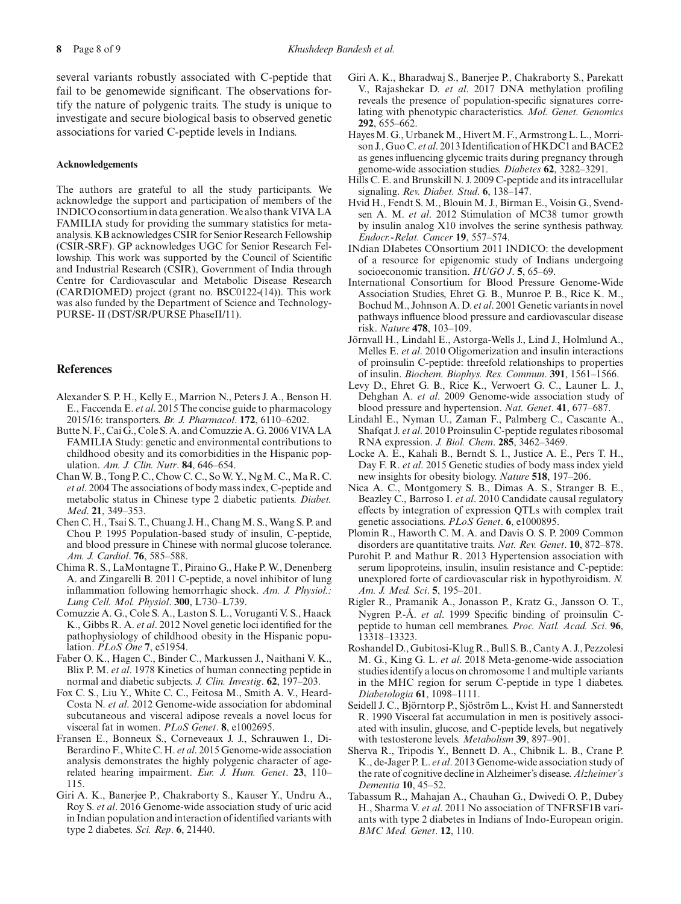several variants robustly associated with C-peptide that fail to be genomewide significant. The observations fortify the nature of polygenic traits. The study is unique to investigate and secure biological basis to observed genetic associations for varied C-peptide levels in Indians.

#### **Acknowledgements**

The authors are grateful to all the study participants. We acknowledge the support and participation of members of the INDICO consortium in data generation. We also thank VIVA LA FAMILIA study for providing the summary statistics for metaanalysis. KB acknowledges CSIR for Senior Research Fellowship (CSIR-SRF). GP acknowledges UGC for Senior Research Fellowship. This work was supported by the Council of Scientific and Industrial Research (CSIR), Government of India through Centre for Cardiovascular and Metabolic Disease Research (CARDIOMED) project (grant no. BSC0122-(14)). This work was also funded by the Department of Science and Technology-PURSE- II (DST/SR/PURSE PhaseII/11).

# **References**

- <span id="page-7-24"></span>Alexander S. P. H., Kelly E., Marrion N., Peters J. A., Benson H. E., Faccenda E. *et al*. 2015 The concise guide to pharmacology 2015/16: transporters. *Br. J. Pharmacol*. **172**, 6110–6202.
- <span id="page-7-11"></span>Butte N. F., Cai G., Cole S. A. and Comuzzie A. G. 2006 VIVA LA FAMILIA Study: genetic and environmental contributions to childhood obesity and its comorbidities in the Hispanic population. *Am. J. Clin. Nutr*. **84**, 646–654.
- <span id="page-7-23"></span>Chan W. B., Tong P. C., Chow C. C., So W. Y., Ng M. C., Ma R. C. *et al*. 2004 The associations of body mass index, C-peptide and metabolic status in Chinese type 2 diabetic patients. *Diabet. Med*. **21**, 349–353.
- <span id="page-7-20"></span>Chen C. H., Tsai S. T., Chuang J. H., Chang M. S., Wang S. P. and Chou P. 1995 Population-based study of insulin, C-peptide, and blood pressure in Chinese with normal glucose tolerance. *Am. J. Cardiol*. **76**, 585–588.
- <span id="page-7-27"></span>Chima R. S., LaMontagne T., Piraino G., Hake P. W., Denenberg A. and Zingarelli B. 2011 C-peptide, a novel inhibitor of lung inflammation following hemorrhagic shock. *Am. J. Physiol.: Lung Cell. Mol. Physiol*. **300**, L730–L739.
- <span id="page-7-5"></span>Comuzzie A. G., Cole S. A., Laston S. L., Voruganti V. S., Haack K., Gibbs R. A. *et al*. 2012 Novel genetic loci identified for the pathophysiology of childhood obesity in the Hispanic population. *PLoS One* **7**, e51954.
- <span id="page-7-1"></span>Faber O. K., Hagen C., Binder C., Markussen J., Naithani V. K., Blix P. M. *et al*. 1978 Kinetics of human connecting peptide in normal and diabetic subjects. *J. Clin. Investig*. **62**, 197–203.
- <span id="page-7-25"></span>Fox C. S., Liu Y., White C. C., Feitosa M., Smith A. V., Heard-Costa N. *et al*. 2012 Genome-wide association for abdominal subcutaneous and visceral adipose reveals a novel locus for visceral fat in women. *PLoS Genet*. **8**, e1002695.
- <span id="page-7-13"></span>Fransen E., Bonneux S., Corneveaux J. J., Schrauwen I., Di-Berardino F., White C. H. *et al*. 2015 Genome-wide association analysis demonstrates the highly polygenic character of agerelated hearing impairment. *Eur. J. Hum. Genet*. **23**, 110– 115.
- <span id="page-7-9"></span>Giri A. K., Banerjee P., Chakraborty S., Kauser Y., Undru A., Roy S. *et al*. 2016 Genome-wide association study of uric acid in Indian population and interaction of identified variants with type 2 diabetes. *Sci. Rep*. **6**, 21440.
- <span id="page-7-12"></span>Giri A. K., Bharadwaj S., Banerjee P., Chakraborty S., Parekatt V., Rajashekar D. *et al*. 2017 DNA methylation profiling reveals the presence of population-specific signatures correlating with phenotypic characteristics. *Mol. Genet. Genomics* **292**, 655–662.
- <span id="page-7-6"></span>Hayes M. G., Urbanek M., Hivert M. F., Armstrong L. L., Morrison J., Guo C. *et al*. 2013 Identification of HKDC1 and BACE2 as genes influencing glycemic traits during pregnancy through genome-wide association studies. *Diabetes* **62**, 3282–3291.
- <span id="page-7-4"></span>Hills C. E. and Brunskill N. J. 2009 C-peptide and its intracellular signaling. *Rev. Diabet. Stud*. **6**, 138–147.
- <span id="page-7-16"></span>Hvid H., Fendt S. M., Blouin M. J., Birman E., Voisin G., Svendsen A. M. *et al*. 2012 Stimulation of MC38 tumor growth by insulin analog X10 involves the serine synthesis pathway. *Endocr.-Relat. Cancer* **19**, 557–574.
- <span id="page-7-10"></span>INdian DIabetes COnsortium 2011 INDICO: the development of a resource for epigenomic study of Indians undergoing socioeconomic transition. *HUGO J*. **5**, 65–69.
- <span id="page-7-18"></span>International Consortium for Blood Pressure Genome-Wide Association Studies, Ehret G. B., Munroe P. B., Rice K. M., Bochud M., Johnson A. D. *et al*. 2001 Genetic variants in novel pathways influence blood pressure and cardiovascular disease risk. *Nature* **478**, 103–109.
- <span id="page-7-17"></span>Jörnvall H., Lindahl E., Astorga-Wells J., Lind J., Holmlund A., Melles E. *et al*. 2010 Oligomerization and insulin interactions of proinsulin C-peptide: threefold relationships to properties of insulin. *Biochem. Biophys. Res. Commun*. **391**, 1561–1566.
- <span id="page-7-19"></span>Levy D., Ehret G. B., Rice K., Verwoert G. C., Launer L. J., Dehghan A. *et al*. 2009 Genome-wide association study of blood pressure and hypertension. *Nat. Genet*. **41**, 677–687.
- <span id="page-7-3"></span>Lindahl E., Nyman U., Zaman F., Palmberg C., Cascante A., Shafqat J. *et al*. 2010 Proinsulin C-peptide regulates ribosomal RNA expression. *J. Biol. Chem*. **285**, 3462–3469.
- <span id="page-7-22"></span>Locke A. E., Kahali B., Berndt S. I., Justice A. E., Pers T. H., Day F. R. *et al*. 2015 Genetic studies of body mass index yield new insights for obesity biology. *Nature* **518**, 197–206.
- <span id="page-7-14"></span>Nica A. C., Montgomery S. B., Dimas A. S., Stranger B. E., Beazley C., Barroso I. *et al*. 2010 Candidate causal regulatory effects by integration of expression QTLs with complex trait genetic associations. *PLoS Genet*. **6**, e1000895.
- <span id="page-7-0"></span>Plomin R., Haworth C. M. A. and Davis O. S. P. 2009 Common disorders are quantitative traits. *Nat. Rev. Genet*. **10**, 872–878.
- <span id="page-7-21"></span>Purohit P. and Mathur R. 2013 Hypertension association with serum lipoproteins, insulin, insulin resistance and C-peptide: unexplored forte of cardiovascular risk in hypothyroidism. *N. Am. J. Med. Sci*. **5**, 195–201.
- <span id="page-7-2"></span>Rigler R., Pramanik A., Jonasson P., Kratz G., Jansson O. T., Nygren P.-Å. *et al*. 1999 Specific binding of proinsulin Cpeptide to human cell membranes. *Proc. Natl. Acad. Sci*. **96**, 13318–13323.
- <span id="page-7-7"></span>Roshandel D., Gubitosi-Klug R., Bull S. B., Canty A. J., Pezzolesi M. G., King G. L. *et al*. 2018 Meta-genome-wide association studies identify a locus on chromosome 1 and multiple variants in the MHC region for serum C-peptide in type 1 diabetes. *Diabetologia* **61**, 1098–1111.
- <span id="page-7-26"></span>Seidell J. C., Björntorp P., Sjöström L., Kvist H. and Sannerstedt R. 1990 Visceral fat accumulation in men is positively associated with insulin, glucose, and C-peptide levels, but negatively with testosterone levels. *Metabolism* **39**, 897–901.
- <span id="page-7-15"></span>Sherva R., Tripodis Y., Bennett D. A., Chibnik L. B., Crane P. K., de-Jager P. L. *et al*. 2013 Genome-wide association study of the rate of cognitive decline in Alzheimer's disease. *Alzheimer's Dementia* **10**, 45–52.
- <span id="page-7-8"></span>Tabassum R., Mahajan A., Chauhan G., Dwivedi O. P., Dubey H., Sharma V. *et al*. 2011 No association of TNFRSF1B variants with type 2 diabetes in Indians of Indo-European origin. *BMC Med. Genet*. **12**, 110.